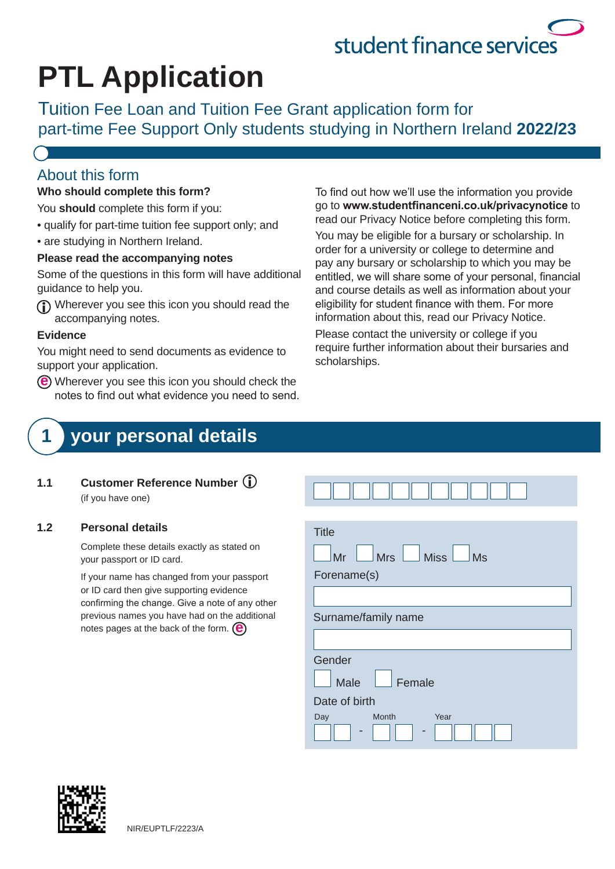# student finance services

## **PTL Application**

Tuition Fee Loan and Tuition Fee Grant application form for part-time Fee Support Only students studying in Northern Ireland **2022/23**

### About this form

#### **Who should complete this form?**

You **should** complete this form if you:

- qualify for part-time tuition fee support only; and
- are studying in Northern Ireland.

#### **Please read the accompanying notes**

Some of the questions in this form will have additional guidance to help you.

Wherever you see this icon you should read the accompanying notes.

#### **Evidence**

You might need to send documents as evidence to support your application.

Wherever you see this icon you should check the **e**notes to find out what evidence you need to send. To find out how we'll use the information you provide go to to **www.studentfinanceni.co.uk/privacynotice** read our Privacy Notice before completing this form.

You may be eligible for a bursary or scholarship. In order for a university or college to determine and pay any bursary or scholarship to which you may be entitled, we will share some of your personal, financial and course details as well as information about your eligibility for student finance with them. For more information about this, read our Privacy Notice.

Please contact the university or college if you require further information about their bursaries and scholarships.

### **1 your personal details**

**1.1 Customer Reference Number**  (if you have one)

#### **1.2 Personal details**

Complete these details exactly as stated on your passport or ID card.

If your name has changed from your passport or ID card then give supporting evidence confirming the change. Give a note of any other previous names you have had on the additional notes pages at the back of the form. **e**

| <b>Title</b>                |  |  |
|-----------------------------|--|--|
| Mrs Miss<br>Mr<br><b>Ms</b> |  |  |
| Forename(s)                 |  |  |
|                             |  |  |
| Surname/family name         |  |  |
|                             |  |  |
| Gender                      |  |  |
| Male<br>Female              |  |  |
| Date of birth               |  |  |

- -

Month Year

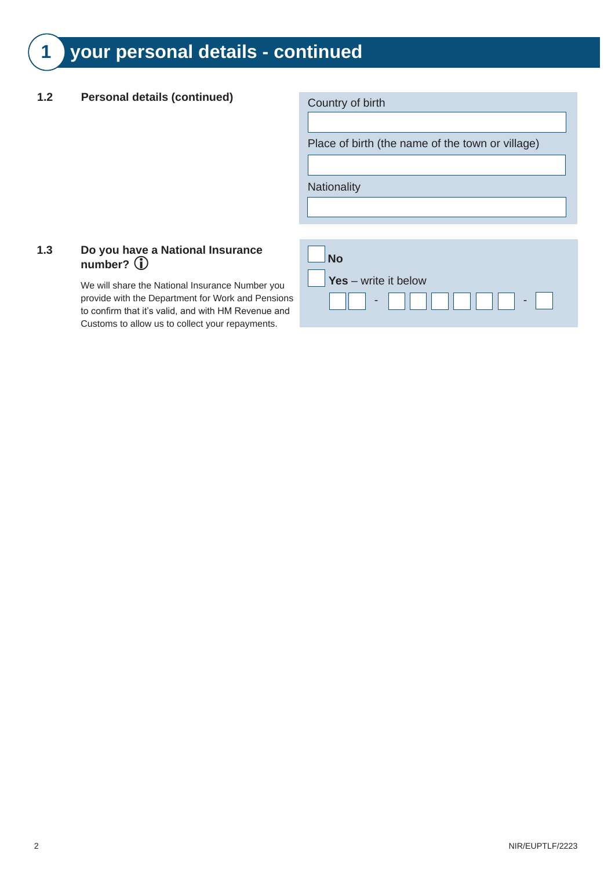### **1 your personal details - continued**

### 1.2 **Personal details (continued)** Country of birth

Place of birth (the name of the town or village)

**Nationality** 

#### **1.3 Do you have a National Insurance number?**

We will share the National Insurance Number you provide with the Department for Work and Pensions to confirm that it's valid, and with HM Revenue and Customs to allow us to collect your repayments.

| <b>No</b>                                     |  |
|-----------------------------------------------|--|
| $\overline{\phantom{a}}$ Yes – write it below |  |
|                                               |  |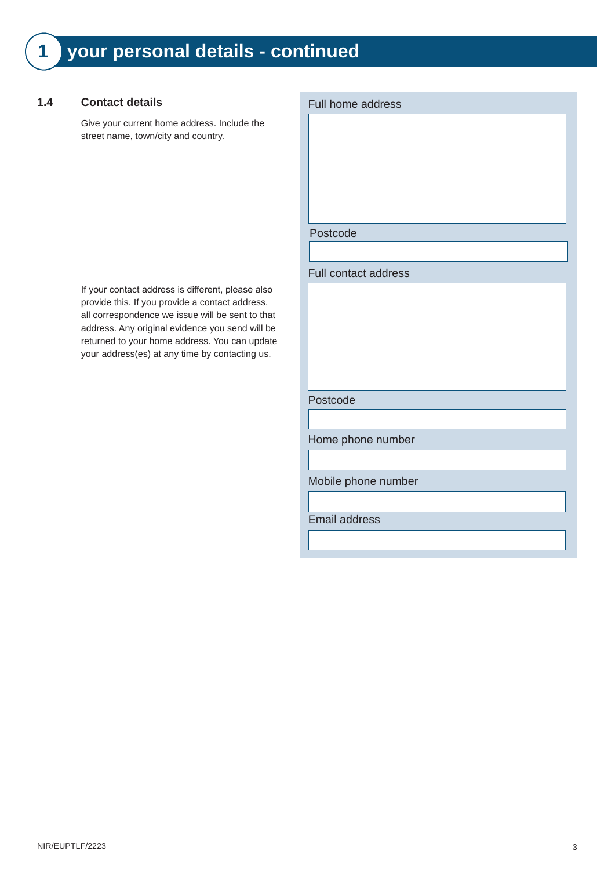#### **1.4 Contact details**

Give your current home address. Include the street name, town/city and country.

If your contact address is different, please also provide this. If you provide a contact address, all correspondence we issue will be sent to that address. Any original evidence you send will be returned to your home address. You can update your address(es) at any time by contacting us.

#### Full home address

Postcode

Full contact address

Postcode

Home phone number

Mobile phone number

Email address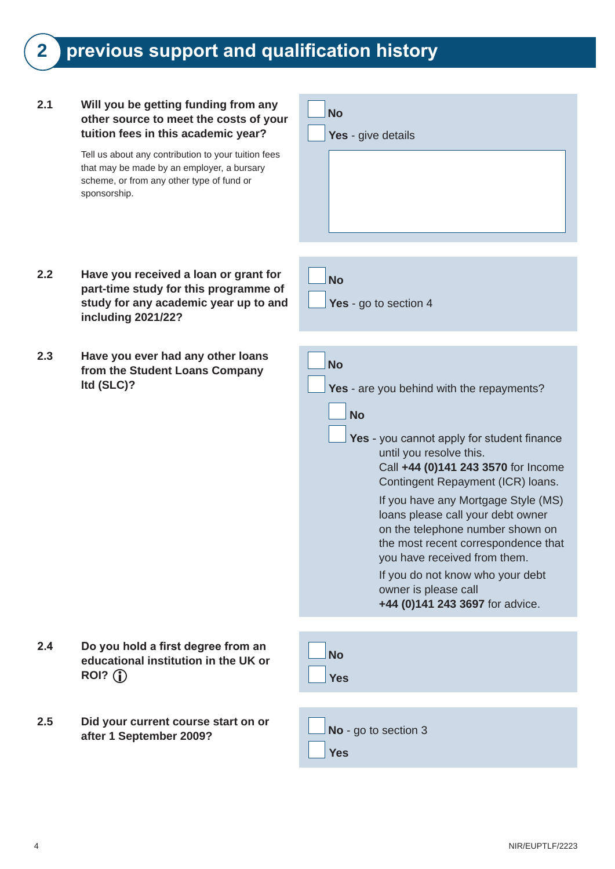### **2 previous support and qualification history**

#### **2.1 Will you be getting funding from any other source to meet the costs of your tuition fees in this academic year?**

Tell us about any contribution to your tuition fees that may be made by an employer, a bursary scheme, or from any other type of fund or sponsorship.

| <b>No</b>          |
|--------------------|
| Yes - give details |
|                    |
|                    |
|                    |
|                    |

Yes - go to section 4

**No** 

- **2.2 Have you received a loan or grant for part-time study for this programme of study for any academic year up to and including 2021/22?**
- **2.3 Have you ever had any other loans from the Student Loans Company ltd (SLC)?**

| <b>No</b>                                                                                                                                                                                                                                                                                                               |
|-------------------------------------------------------------------------------------------------------------------------------------------------------------------------------------------------------------------------------------------------------------------------------------------------------------------------|
| Yes - are you behind with the repayments?                                                                                                                                                                                                                                                                               |
| No                                                                                                                                                                                                                                                                                                                      |
| Yes - you cannot apply for student finance<br>until you resolve this.<br>Call +44 (0)141 243 3570 for Income                                                                                                                                                                                                            |
| Contingent Repayment (ICR) Ioans.<br>If you have any Mortgage Style (MS)<br>loans please call your debt owner<br>on the telephone number shown on<br>the most recent correspondence that<br>you have received from them.<br>If you do not know who your debt<br>owner is please call<br>+44 (0)141 243 3697 for advice. |
|                                                                                                                                                                                                                                                                                                                         |
| N <sub>Ω</sub><br>Yes                                                                                                                                                                                                                                                                                                   |
|                                                                                                                                                                                                                                                                                                                         |

**educational institution in the UK or ROI?** 

**2.4 Do you hold a first degree from an** 

**2.5 Did your current course start on or**  after 1 September 2009?

| $\Box$ No - go to section 3 |
|-----------------------------|
| $\vert$ Yes                 |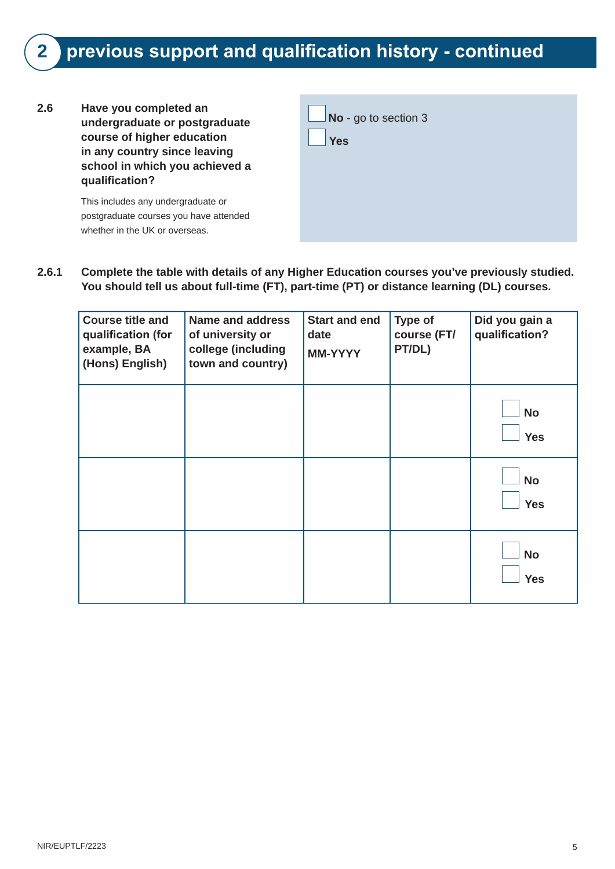### **2 previous support and qualification history - continued**

**2.6 Have you completed an undergraduate or postgraduate course of higher education in any country since leaving school in which you achieved a qualification?** 

> This includes any undergraduate or postgraduate courses you have attended whether in the UK or overseas.

| $\Box$ No - go to section 3 |  |
|-----------------------------|--|
| Yes                         |  |
|                             |  |
|                             |  |
|                             |  |
|                             |  |

**2.6.1 Complete the table with details of any Higher Education courses you've previously studied. You should tell us about full-time (FT), part-time (PT) or distance learning (DL) courses.**

| <b>Course title and</b><br>qualification (for<br>example, BA<br>(Hons) English) | <b>Name and address</b><br>of university or<br>college (including<br>town and country) | <b>Start and end</b><br>date<br><b>MM-YYYY</b> | Type of<br>course (FT/<br>PT/DL) | Did you gain a<br>qualification? |
|---------------------------------------------------------------------------------|----------------------------------------------------------------------------------------|------------------------------------------------|----------------------------------|----------------------------------|
|                                                                                 |                                                                                        |                                                |                                  | <b>No</b><br><b>Yes</b>          |
|                                                                                 |                                                                                        |                                                |                                  | <b>No</b><br><b>Yes</b>          |
|                                                                                 |                                                                                        |                                                |                                  | <b>No</b><br><b>Yes</b>          |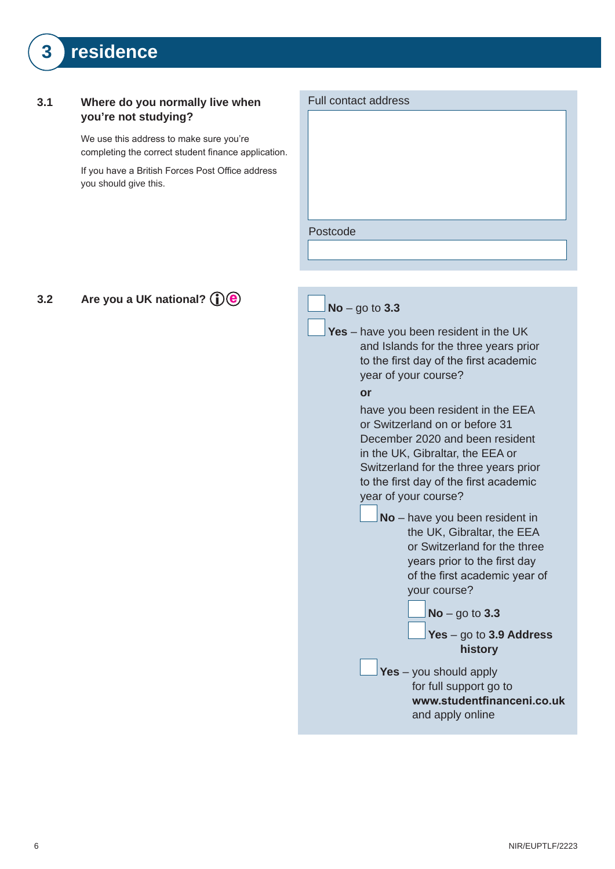### **3 residence**

#### **3.1 Where do you normally live when you're not studying?**

We use this address to make sure you're completing the correct student finance application.

If you have a British Forces Post Office address you should give this.

| Full contact address |
|----------------------|
|                      |
|                      |
|                      |
|                      |
|                      |
|                      |
|                      |
| Postcode             |
|                      |
|                      |
|                      |

#### **3.2** Are you a UK national?  $\bigcirc$  **e**

| $No - go to 3.3$ |                                                                                                                                                                                                                                                                                                                                                                                                                                                                                       |
|------------------|---------------------------------------------------------------------------------------------------------------------------------------------------------------------------------------------------------------------------------------------------------------------------------------------------------------------------------------------------------------------------------------------------------------------------------------------------------------------------------------|
|                  | Yes - have you been resident in the UK<br>and Islands for the three years prior<br>to the first day of the first academic<br>year of your course?                                                                                                                                                                                                                                                                                                                                     |
| or               |                                                                                                                                                                                                                                                                                                                                                                                                                                                                                       |
|                  | have you been resident in the EEA<br>or Switzerland on or before 31<br>December 2020 and been resident<br>in the UK, Gibraltar, the EEA or<br>Switzerland for the three years prior<br>to the first day of the first academic<br>year of your course?<br>No - have you been resident in<br>the UK, Gibraltar, the EEA<br>or Switzerland for the three<br>years prior to the first day<br>of the first academic year of<br>your course?<br>$No$ – go to 3.3<br>Yes - go to 3.9 Address |
|                  | history                                                                                                                                                                                                                                                                                                                                                                                                                                                                               |
|                  | Yes - you should apply<br>for full support go to<br>www.studentfinanceni.co.uk<br>and apply online                                                                                                                                                                                                                                                                                                                                                                                    |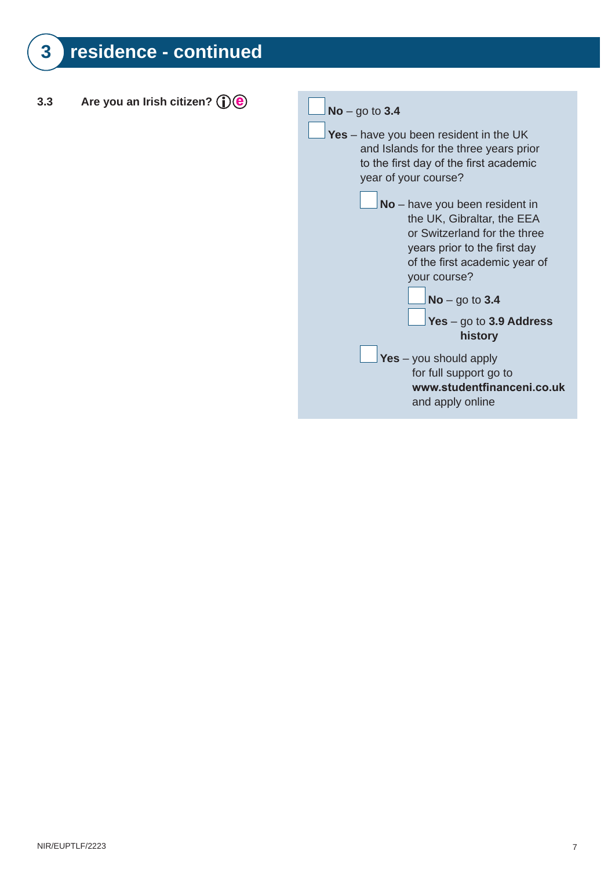**3.3** Are you an Irish citizen?  $\bigcirc$  **e**  $\bigcirc$   $\bigcirc$  No – go to 3.4 **Yes** – have you been resident in the UK and Islands for the three years prior to the first day of the first academic year of your course? **No** – have you been resident in the UK, Gibraltar, the EEA or Switzerland for the three years prior to the first day of the first academic year of your course? **No** – go to **3.4** Yes – go to 3.9 Address history **Yes** – you should apply for full support go to **<www.studentfinanceni.co.uk>** and apply online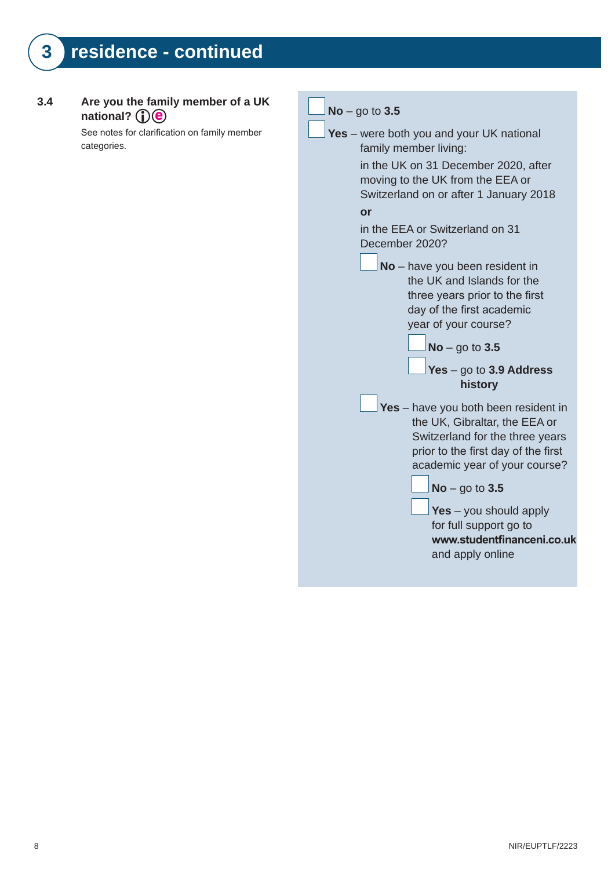#### **3.4 Are you the family member of a UK**  national? *i*) *e*

See notes for clarification on family member categories.

| $No - go to 3.5$                                                                                                                                                                                                                                                                                             |  |  |
|--------------------------------------------------------------------------------------------------------------------------------------------------------------------------------------------------------------------------------------------------------------------------------------------------------------|--|--|
| <b>Yes</b> – were both you and your UK national<br>family member living:<br>in the UK on 31 December 2020, after<br>moving to the UK from the EEA or<br>Switzerland on or after 1 January 2018<br>or                                                                                                         |  |  |
| in the EEA or Switzerland on 31<br>December 2020?                                                                                                                                                                                                                                                            |  |  |
| No - have you been resident in<br>the UK and Islands for the<br>three years prior to the first<br>day of the first academic<br>year of your course?<br>$No$ – go to 3.5<br>Yes $-$ go to 3.9 Address<br>history                                                                                              |  |  |
| Yes - have you both been resident in<br>the UK, Gibraltar, the EEA or<br>Switzerland for the three years<br>prior to the first day of the first<br>academic year of your course?<br>$No - go to 3.5$<br>Yes $-$ you should apply<br>for full support go to<br>www.studentfinanceni.co.uk<br>and apply online |  |  |
|                                                                                                                                                                                                                                                                                                              |  |  |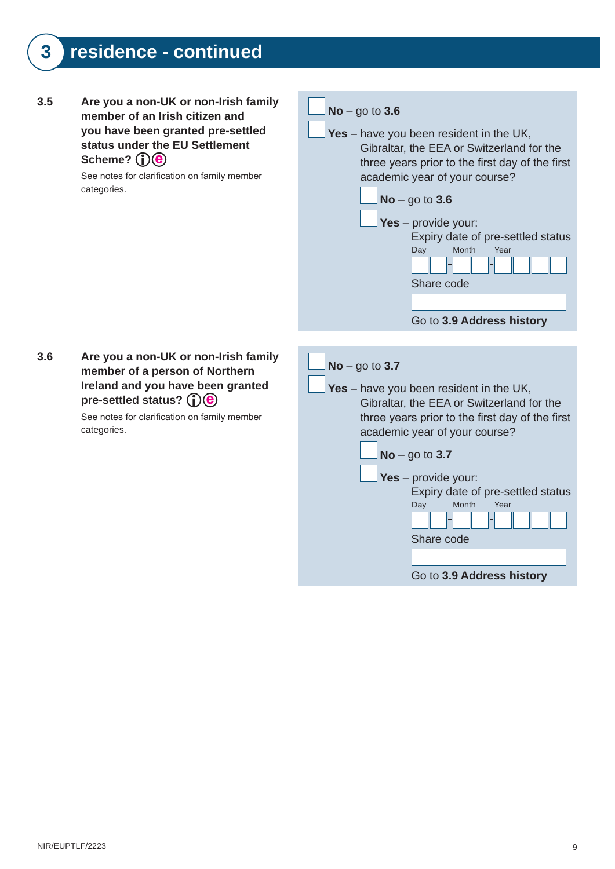**3.5 Are you a non-UK or non-Irish family No** – go to **3.6 member of an Irish citizen and you have been granted pre-settled Yes** – have you been resident in the UK, **status under the EU Settlement**  Gibraltar, the EEA or Switzerland for the Scheme? (**i**) (**e**) three years prior to the first day of the first See notes for clarification on family member academic year of your course? categories. **No** – go to **3.6 Yes** – provide your: Expiry date of pre-settled status Day Month Year Share code Go to **3.9 Address history 3.6 Are you a non-UK or non-Irish family No** – go to **3.7 member of a person of Northern Ireland and you have been granted Yes** – have you been resident in the UK, pre-settled status? (**i**)**(e**) Gibraltar, the EEA or Switzerland for the See notes for clarification on family member three years prior to the first day of the first categories. academic year of your course? **No** – go to **3.7 Yes** – provide your: Expiry date of pre-settled status Day Month Year Share code

Go to **3.9 Address history**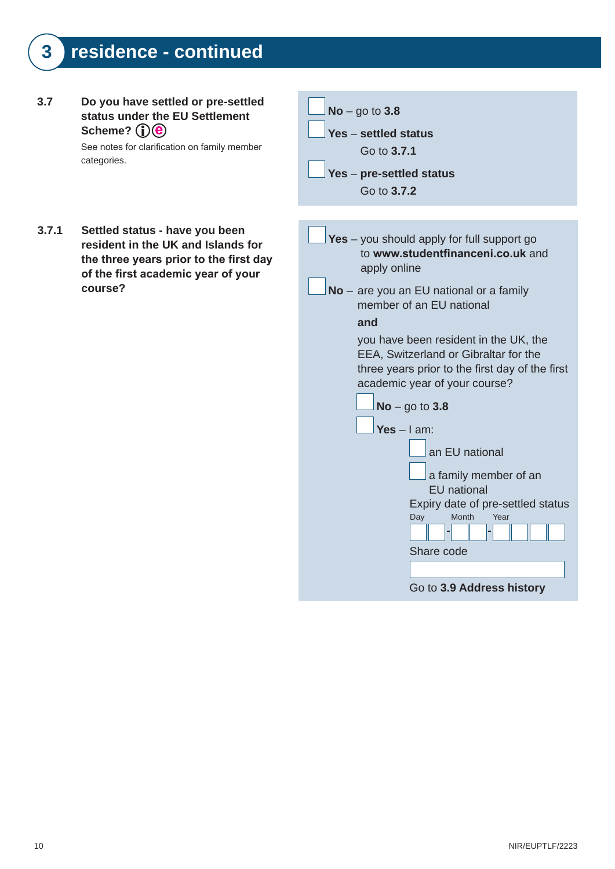#### **3.7 Do you have settled or pre-settled status under the EU Settlement**  Scheme? (i) (e)

**3.7.1 Settled status - have you been** 

**course?**

See notes for clarification on family member categories.

**resident in the UK and Islands for**  the three years prior to the first day of the first academic year of your



Go to **3.9 Address history**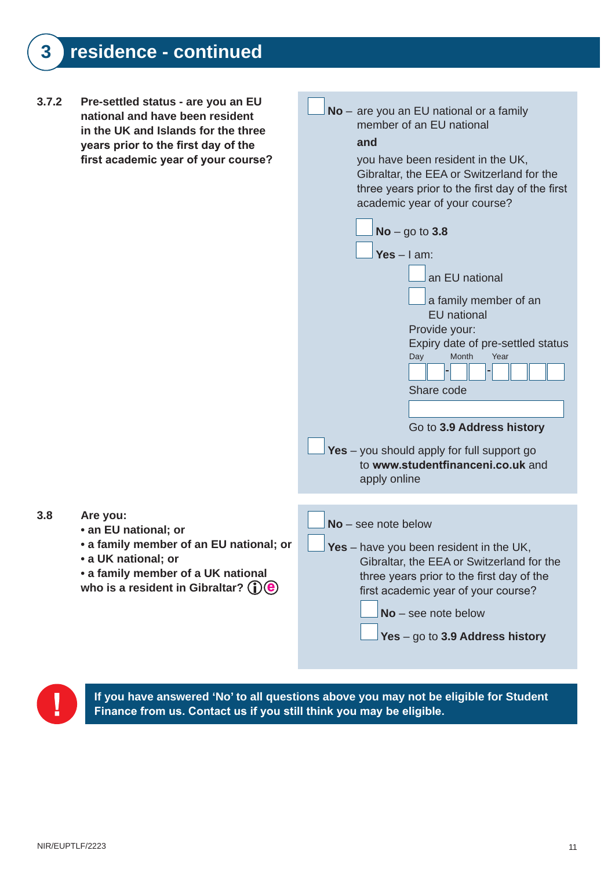**3.7.2 Pre-settled status - are you an EU No** – are you an EU national or a family **national and have been resident**  member of an EU national **in the UK and Islands for the three and years prior to the first day of the** first academic year of your course? you have been resident in the UK, Gibraltar, the EEA or Switzerland for the three years prior to the first day of the first academic year of your course? **No** – go to **3.8 Yes** – I am: an EU national a family member of an EU national Provide your: Expiry date of pre-settled status Day Month Year Share code Go to **3.9 Address history Yes** – you should apply for full support go to **www.studentfinanceni.co.uk** and apply online **3.8 Are you: No** – see note below **• an EU national; or • a family member of an EU national; or Yes** – have you been resident in the UK, **• a UK national; or** Gibraltar, the EEA or Switzerland for the **• a family member of a UK national** three years prior to the first day of the who is a resident in Gibraltar?  $(i)$   $(i)$ first academic year of your course? **No** – see note below



**If you have answered 'No' to all questions above you may not be eligible for Student**  Finance from us. Contact us if you still think you may be eligible.

**Yes** – go to **3.9 Address history**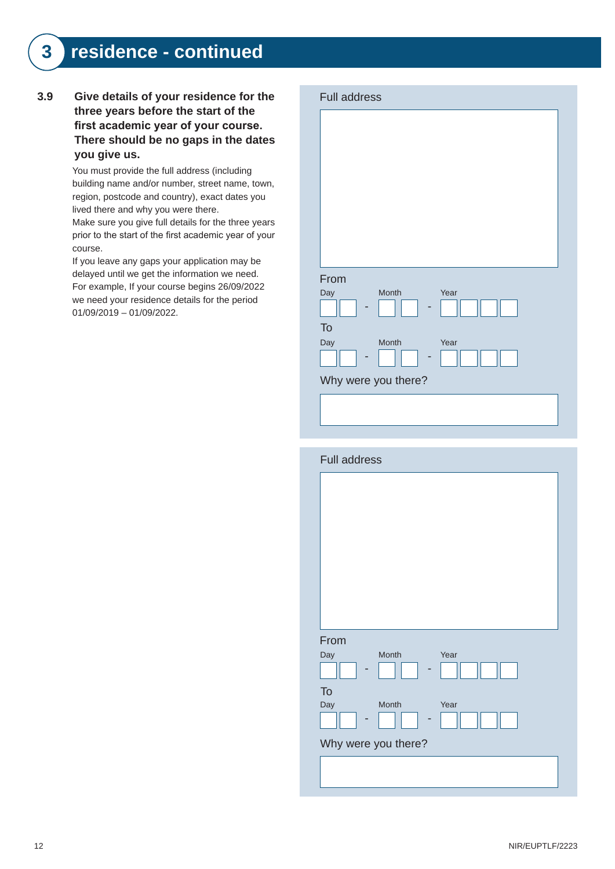#### **3.9 Give details of your residence for the**  three years before the start of the first academic year of your course. There should be no gaps in the dates you give us.

You must provide the full address (including building name and/or number, street name, town, region, postcode and country), exact dates you lived there and why you were there.

Make sure you give full details for the three years prior to the start of the first academic year of your course.

If you leave any gaps your application may be delayed until we get the information we need. For example, If your course begins 26/09/2022 we need your residence details for the period 01/09/2019 – 01/09/2022.

| <b>Full address</b> |       |      |
|---------------------|-------|------|
|                     |       |      |
|                     |       |      |
|                     |       |      |
|                     |       |      |
|                     |       |      |
|                     |       |      |
|                     |       |      |
|                     |       |      |
| From                |       |      |
| Day                 | Month | Year |
|                     |       |      |
| To                  |       |      |
| Day                 | Month | Year |
|                     |       |      |
| Why were you there? |       |      |
|                     |       |      |
|                     |       |      |

| <b>Full address</b>          |
|------------------------------|
|                              |
|                              |
|                              |
|                              |
|                              |
|                              |
|                              |
| From<br>Month<br>Day<br>Year |
|                              |
| To                           |
| Month<br>Year<br>Day         |
| Why were you there?          |
|                              |
|                              |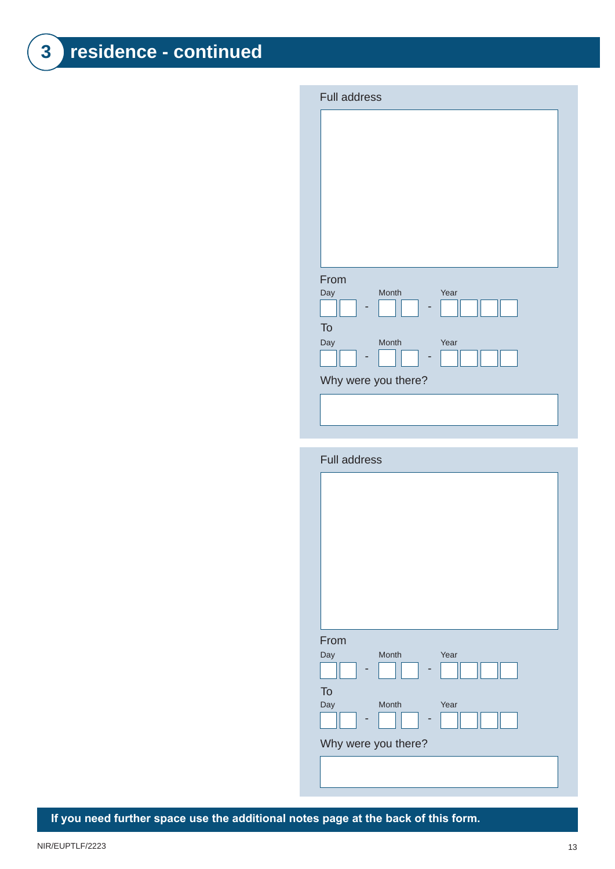| <b>Full address</b>  |
|----------------------|
|                      |
|                      |
|                      |
|                      |
|                      |
|                      |
|                      |
|                      |
| From                 |
| Month<br>Year<br>Day |
|                      |
| To                   |
| Month<br>Day<br>Year |
|                      |
| Why were you there?  |
|                      |
|                      |

| <b>Full address</b> |      |
|---------------------|------|
|                     |      |
|                     |      |
|                     |      |
|                     |      |
|                     |      |
|                     |      |
|                     |      |
| From                |      |
| Month<br>Day        | Year |
| To                  |      |
| <b>Month</b><br>Day | Year |
| Why were you there? |      |
|                     |      |
|                     |      |

If you need further space use the additional notes page at the back of this form.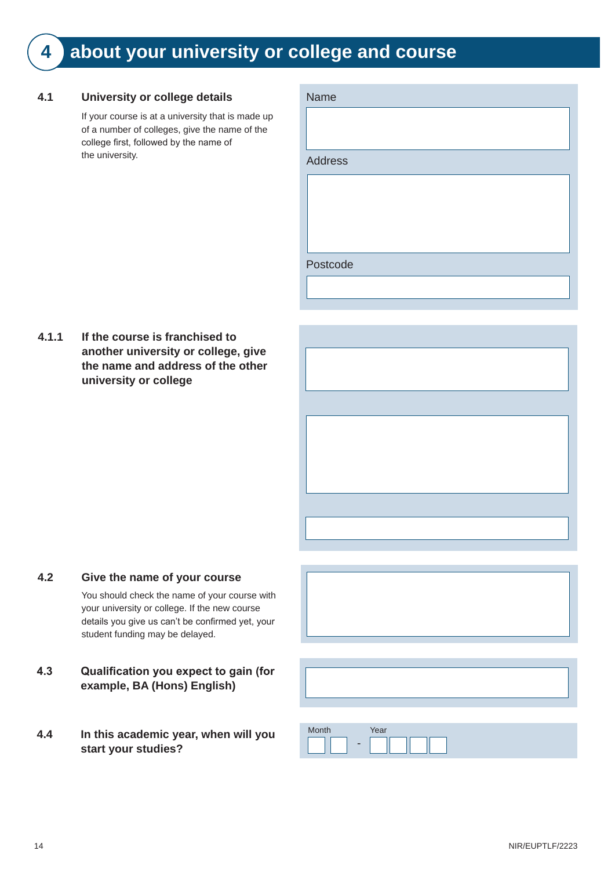### **4 about your university or college and course**

#### **4.1 University or college details**

If your course is at a university that is made up of a number of colleges, give the name of the college first, followed by the name of the university.

| Name           |  |  |
|----------------|--|--|
|                |  |  |
|                |  |  |
| <b>Address</b> |  |  |
|                |  |  |
|                |  |  |
|                |  |  |
|                |  |  |
| Postcode       |  |  |
|                |  |  |
|                |  |  |

**4.1.1 If the course is franchised to another university or college, give the name and address of the other university or college**



You should check the name of your course with your university or college. If the new course details you give us can't be confirmed yet, your student funding may be delayed.

- **4.3 Qualification you expect to gain (for example, BA (Hons) English)**
- **4.4 In this academic year, when will you**  start your studies?



| Month                    | Year |
|--------------------------|------|
| $\overline{\phantom{a}}$ |      |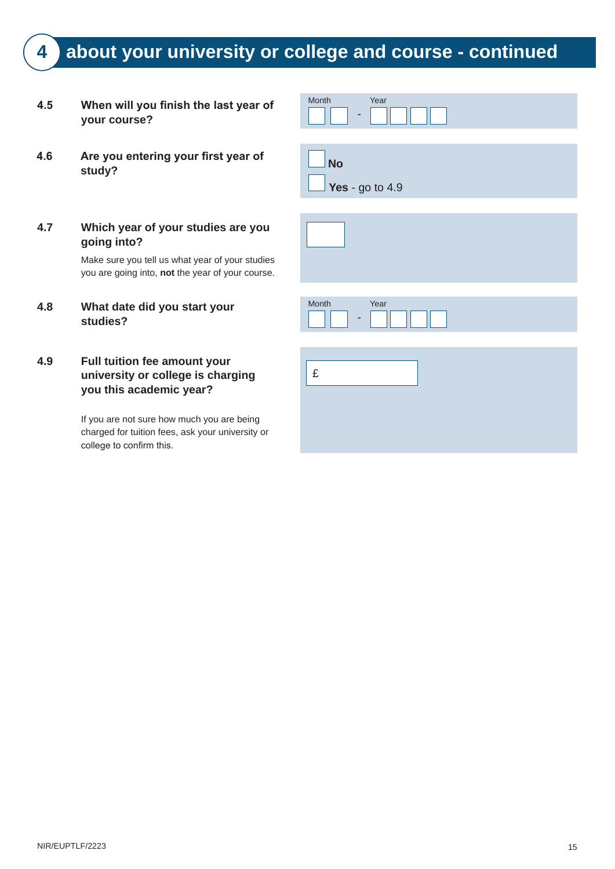### **4 about your university or college and course - continued**

- **4.5** When will you finish the last year of **your course?**
- **4.6** Are you entering your first year of **No and Study?** No
- **4.7 Which year of your studies are you going into?**

Make sure you tell us what year of your studies you are going into, **not** the year of your course.

- **4.8 What date did you start your studies?**
- **4.9 Full tuition fee amount your university or college is charging you this academic year?**

If you are not sure how much you are being charged for tuition fees, ask your university or college to confirm this.

| Month                    | Year |
|--------------------------|------|
| $\overline{\phantom{a}}$ |      |
|                          |      |
| <b>Barro</b>             |      |

**Yes** - go to 4.9

| Month | Year |
|-------|------|
| -     |      |
|       |      |
|       |      |
| £     |      |
|       |      |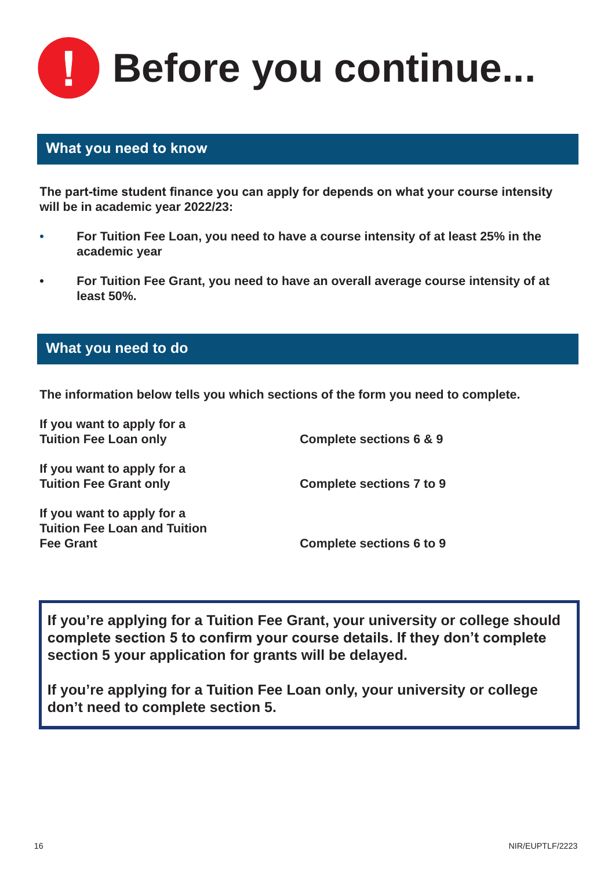**Before you continue...**

#### **What you need to know**

The part-time student finance you can apply for depends on what your course intensity **will be in academic year 2022/23:**

- **• For Tuition Fee Loan, you need to have a course intensity of at least 25% in the academic year**
- **• For Tuition Fee Grant, you need to have an overall average course intensity of at least 50%.**

#### **What you need to do**

**The information below tells you which sections of the form you need to complete.**

| If you want to apply for a<br><b>Tuition Fee Loan only</b> | Complete sections 6 & 9         |
|------------------------------------------------------------|---------------------------------|
| If you want to apply for a                                 |                                 |
| <b>Tuition Fee Grant only</b>                              | <b>Complete sections 7 to 9</b> |
| If you want to apply for a                                 |                                 |
| <b>Tuition Fee Loan and Tuition</b>                        |                                 |
| <b>Fee Grant</b>                                           | <b>Complete sections 6 to 9</b> |
|                                                            |                                 |

**If you're applying for a Tuition Fee Grant, your university or college should**  complete section 5 to confirm your course details. If they don't complete **section 5 your application for grants will be delayed.**

**If you're applying for a Tuition Fee Loan only, your university or college don't need to complete section 5.**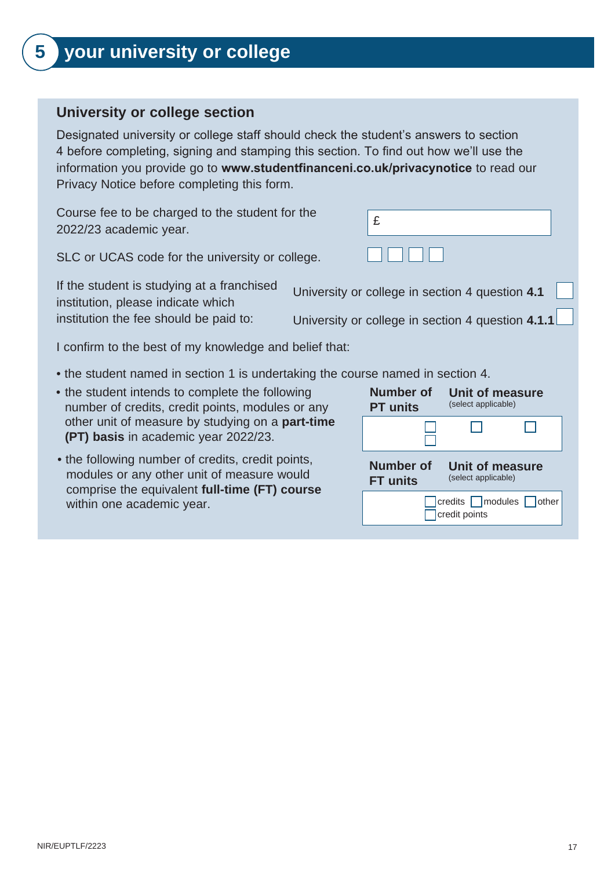### **5 your university or college**

#### **University or college section**

Designated university or college staff should check the student's answers to section 4 before completing, signing and stamping this section. To find out how we'll use the information you provide go to **www.studentfinanceni.co.uk/privacynotice** to read our Privacy Notice before completing this form.

Course fee to be charged to the student for the 2022/23 academic year.

SLC or UCAS code for the university or college.

If the student is studying at a franchised institution, please indicate which institution the fee should be paid to:

I confirm to the best of my knowledge and belief that:

- the student named in section 1 is undertaking the course named in section 4.
- the student intends to complete the following number of credits, credit points, modules or any other unit of measure by studying on a part-time (PT) basis in academic year 2022/23.
- the following number of credits, credit points, modules or any other unit of measure would comprise the equivalent **full-time (FT) course** within one academic year.

| Number of        | Unit of measure                              |
|------------------|----------------------------------------------|
| <b>PT</b> units  | (select applicable)                          |
|                  |                                              |
| <b>Number of</b> | <b>Unit of measure</b>                       |
| <b>FT units</b>  | (select applicable)                          |
|                  | □ credits ■ modules ■ other<br>credit points |

University or college in section 4 question **4.1**

**Number of** 

£

University or college in section 4 question **4.1.1**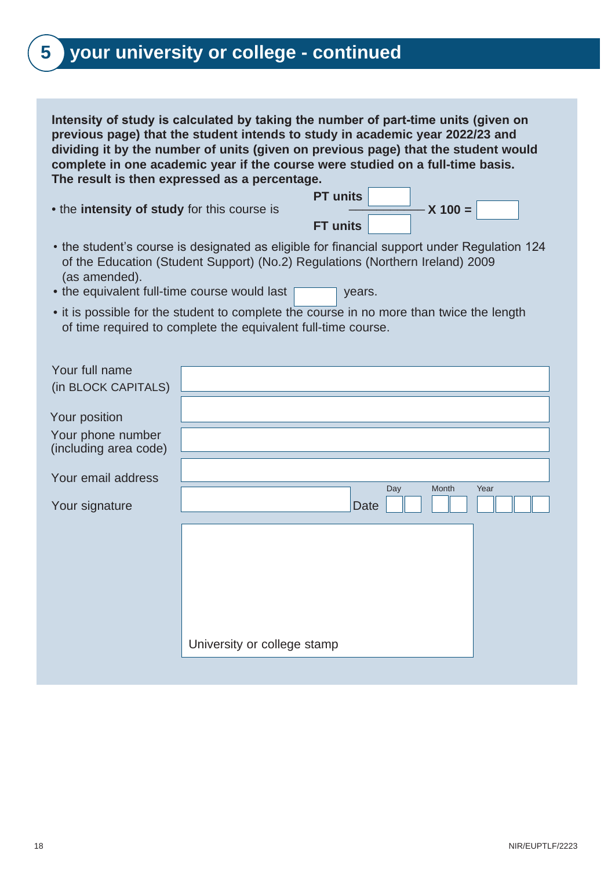### **5 your university or college - continued**

**Intensity of study is calculated by taking the number of part-time units (given on previous page) that the student intends to study in academic year 2022/23 and dividing it by the number of units (given on previous page) that the student would complete in one academic year if the course were studied on a full-time basis. The result is then expressed as a percentage.** 

• the **intensity of study** for this course is **All and Separate in the intensity** 

**PT units FT units X 100 =**

- $\bullet$  the student's course is designated as eligible for financial support under Regulation 124  $\,$ of the Education (Student Support) (No.2) Regulations (Northern Ireland) 2009 (as amended).
- the equivalent full-time course would last  $\boxed{\phantom{a}}$  years.
- it is possible for the student to complete the course in no more than twice the length of time required to complete the equivalent full-time course.

| Your full name        |                             |
|-----------------------|-----------------------------|
| (in BLOCK CAPITALS)   |                             |
|                       |                             |
| Your position         |                             |
| Your phone number     |                             |
| (including area code) |                             |
|                       |                             |
| Your email address    | Day<br>Month<br>Year        |
| Your signature        | Date                        |
|                       |                             |
|                       |                             |
|                       |                             |
|                       |                             |
|                       |                             |
|                       |                             |
|                       |                             |
|                       | University or college stamp |
|                       |                             |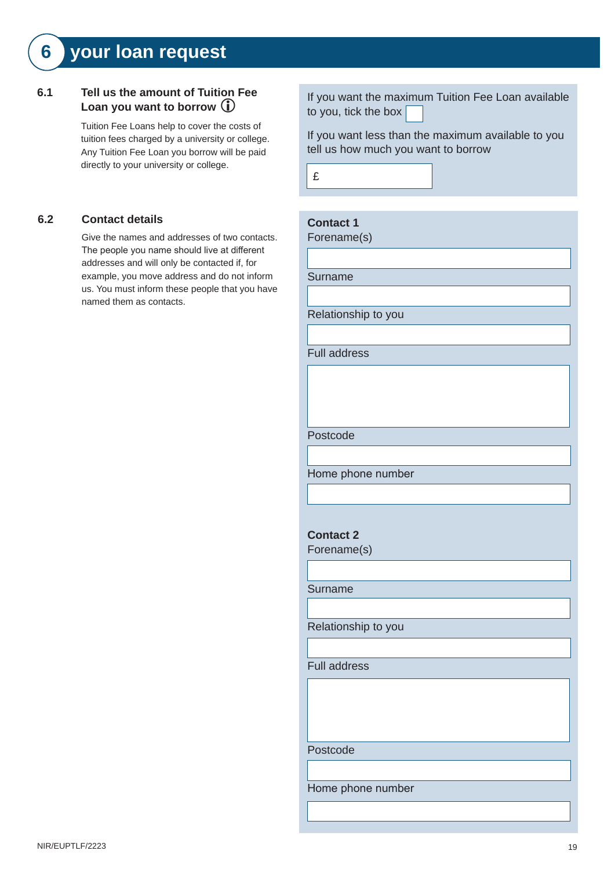### **6 your loan request**

#### **6.1 Tell us the amount of Tuition Fee Loan you want to borrow**

Tuition Fee Loans help to cover the costs of tuition fees charged by a university or college. Any Tuition Fee Loan you borrow will be paid directly to your university or college.

#### **6.2 Contact details**

Give the names and addresses of two contacts. The people you name should live at different addresses and will only be contacted if, for example, you move address and do not inform us. You must inform these people that you have named them as contacts.

If you want the maximum Tuition Fee Loan available to you, tick the box

If you want less than the maximum available to you tell us how much you want to borrow



£

**Contact 1**

Relationship to you

Full address

Postcode

Home phone number

**Contact 2**

Forename(s)

Surname

Relationship to you

Full address

Postcode

Home phone number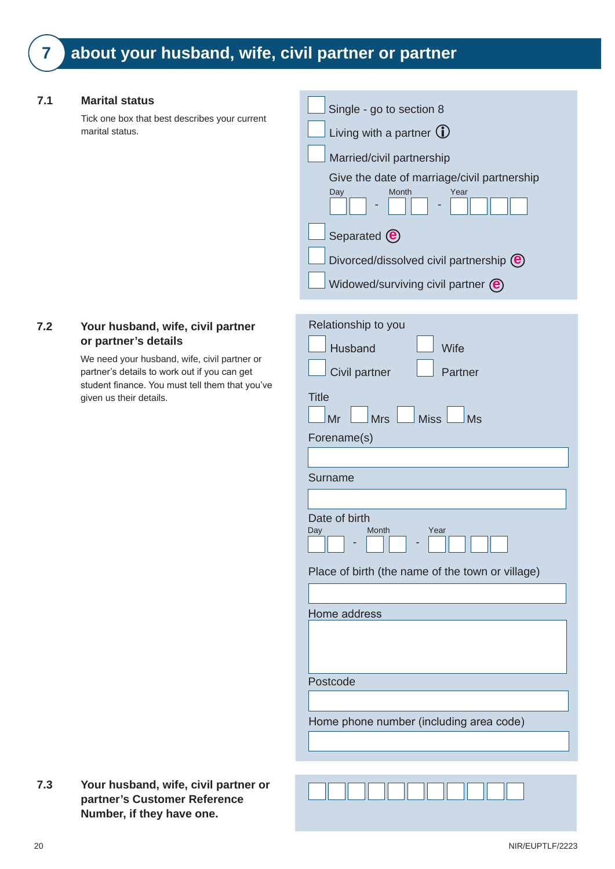#### **7.1 Marital status**

Tick one box that best describes your current marital status.

| Single - go to section 8                                       |
|----------------------------------------------------------------|
| Living with a partner $(i)$                                    |
| Married/civil partnership                                      |
| Give the date of marriage/civil partnership                    |
| Year<br>Month<br>Day                                           |
| Separated $\left(\mathbf{e}\right)$                            |
| Divorced/dissolved civil partnership (e)                       |
| Widowed/surviving civil partner $\left(\mathbf{\Theta}\right)$ |

#### **7.2 Your husband, wife, civil partner or partner's details**

We need your husband, wife, civil partner or partner's details to work out if you can get student finance. You must tell them that you've given us their details.

| Relationship to you                              |
|--------------------------------------------------|
| <b>Husband</b><br>Wife                           |
| Civil partner<br>Partner                         |
|                                                  |
| <b>Title</b>                                     |
| $\Box$ Miss<br><b>Mrs</b><br>Mr<br><b>Ms</b>     |
| Forename(s)                                      |
|                                                  |
| Surname                                          |
|                                                  |
| Date of birth<br><b>Month</b><br>Year<br>Day     |
| Place of birth (the name of the town or village) |
|                                                  |
| Home address                                     |
|                                                  |
| Postcode                                         |
|                                                  |
| Home phone number (including area code)          |
|                                                  |
|                                                  |

**7.3 Your husband, wife, civil partner or partner's Customer Reference Number, if they have one.**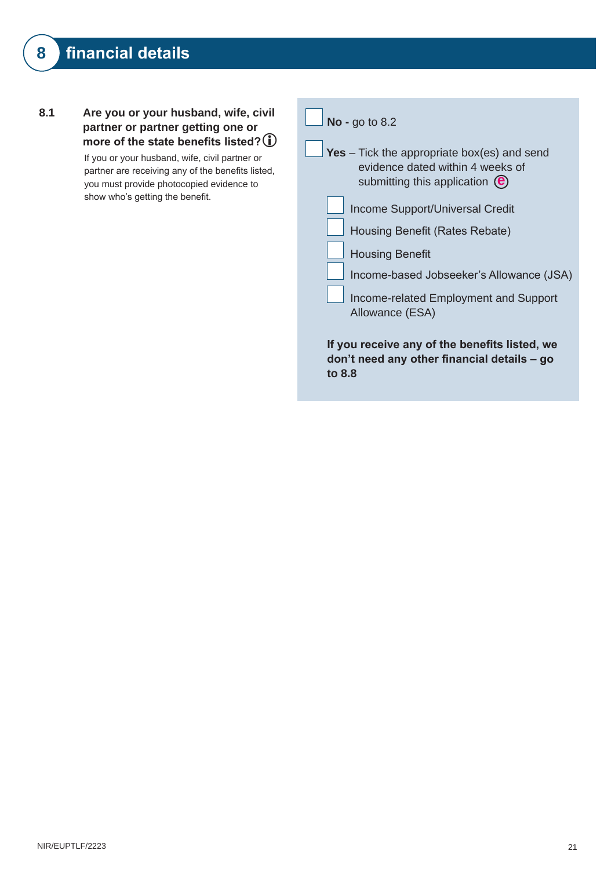**8.1 Are you or your husband, wife, civil partner or partner getting one or**  more of the state benefits listed? **1** 

> If you or your husband, wife, civil partner or partner are receiving any of the benefits listed, you must provide photocopied evidence to show who's getting the benefit.

|          | Yes – Tick the appropriate box(es) and send<br>evidence dated within 4 weeks of<br>submitting this application $\left(\mathbf{e}\right)$ |
|----------|------------------------------------------------------------------------------------------------------------------------------------------|
|          | Income Support/Universal Credit                                                                                                          |
|          | Housing Benefit (Rates Rebate)                                                                                                           |
|          | <b>Housing Benefit</b>                                                                                                                   |
|          | Income-based Jobseeker's Allowance (JSA)                                                                                                 |
|          | Income-related Employment and Support<br>Allowance (ESA)                                                                                 |
| to $8.8$ | If you receive any of the benefits listed, we<br>don't need any other financial details – go                                             |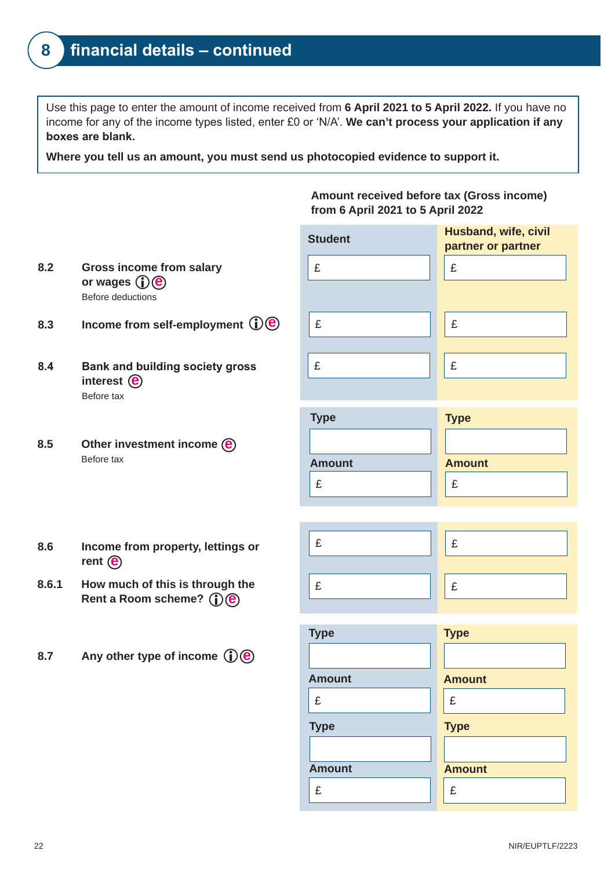Use this page to enter the amount of income received from **6 April 2021 to 5 April 2022.** If you have no income for any of the income types listed, enter £0 or 'N/A'. **We can't process your application if any boxes are blank.**

**Where you tell us an amount, you must send us photocopied evidence to support it.**

**Amount received before tax (Gross income) from 6 April 2021 to 5 April 2022**

 $\mathbf{E}$   $\parallel$   $\parallel$   $\mathbf{E}$  $\mathbf{E}$   $\mathbf{E}$  $\mathbf{E}$   $\parallel$   $\parallel$   $\mathbf{E}$ **Student Husband, wife, civil partner or partner**

| <b>Type</b>   | <b>Type</b>   |
|---------------|---------------|
|               |               |
| <b>Amount</b> | <b>Amount</b> |
|               |               |



- **e or wages 8.2 Gross income from salary**  Before deductions
- **e 8.3 Income from self-employment**
- **e interest 8.4 Bank and building society gross** Before tax
- **e 8.5 Other investment income**  Before tax
- **e rent 8.6 Income from property, lettings or**
- **e Rent a Room scheme? 8.6.1 How much of this is through the**
- **e 8.7 Any other type of income**

| <b>Type</b>   | <b>Type</b>   |
|---------------|---------------|
| <b>Amount</b> | <b>Amount</b> |
| £             | £             |
| <b>Type</b>   | <b>Type</b>   |
|               |               |
| <b>Amount</b> | <b>Amount</b> |
| £             | £             |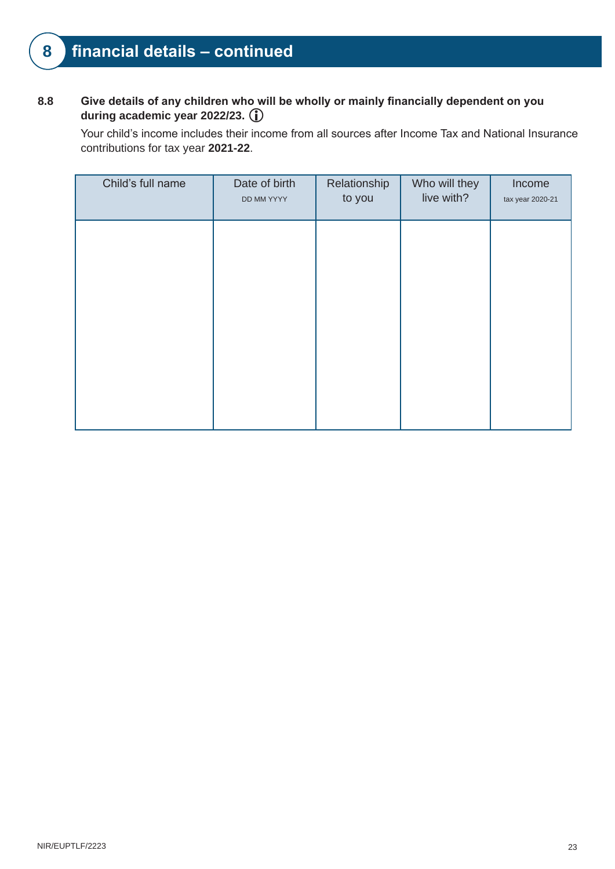### **8 financial details – continued**

#### 8.8 **Give details of any children who will be wholly or mainly financially dependent on you during academic year 2022/23.**

Your child's income includes their income from all sources after Income Tax and National Insurance contributions for tax year **2021-22**.

| Child's full name | Date of birth<br>DD MM YYYY | Relationship<br>to you | Who will they<br>live with? | Income<br>tax year 2020-21 |
|-------------------|-----------------------------|------------------------|-----------------------------|----------------------------|
|                   |                             |                        |                             |                            |
|                   |                             |                        |                             |                            |
|                   |                             |                        |                             |                            |
|                   |                             |                        |                             |                            |
|                   |                             |                        |                             |                            |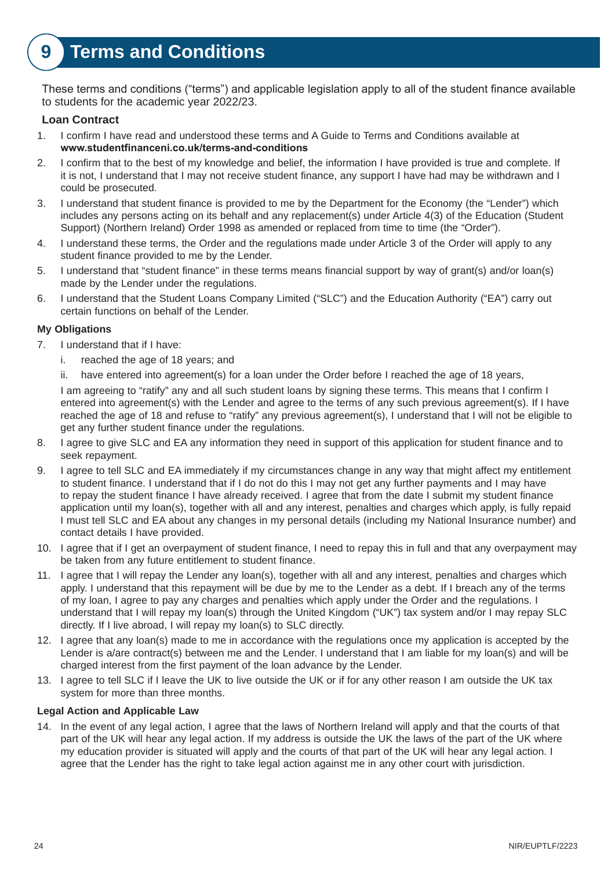### **9 Terms and Conditions**

These terms and conditions ("terms") and applicable legislation apply to all of the student finance available to students for the academic year 2022/23.

#### **Loan Contract**

- 1. I confirm I have read and understood these terms and A Guide to Terms and Conditions available at **[www.studentfinanceni.co.uk/terms-and-conditions](http://www.studentfinanceni.co.uk/terms-and-conditions)**
- 2. I confirm that to the best of my knowledge and belief, the information I have provided is true and complete. If it is not, I understand that I may not receive student finance, any support I have had may be withdrawn and I could be prosecuted.
- 3. I understand that student finance is provided to me by the Department for the Economy (the "Lender") which includes any persons acting on its behalf and any replacement(s) under Article 4(3) of the Education (Student Support) (Northern Ireland) Order 1998 as amended or replaced from time to time (the "Order").
- 4. I understand these terms, the Order and the regulations made under Article 3 of the Order will apply to any student finance provided to me by the Lender.
- 5. I understand that "student finance" in these terms means financial support by way of grant(s) and/or loan(s) made by the Lender under the regulations.
- 6. I understand that the Student Loans Company Limited ("SLC") and the Education Authority ("EA") carry out certain functions on behalf of the Lender.

#### **My Obligations**

- 7. I understand that if I have:
	- i. reached the age of 18 years; and
	- ii. have entered into agreement(s) for a loan under the Order before I reached the age of 18 years,

I am agreeing to "ratify" any and all such student loans by signing these terms. This means that I confirm I entered into agreement(s) with the Lender and agree to the terms of any such previous agreement(s). If I have reached the age of 18 and refuse to "ratify" any previous agreement(s), I understand that I will not be eligible to get any further student finance under the regulations.

- 8. I agree to give SLC and EA any information they need in support of this application for student finance and to seek repayment.
- 9. I agree to tell SLC and EA immediately if my circumstances change in any way that might affect my entitlement to student finance. I understand that if I do not do this I may not get any further payments and I may have to repay the student finance I have already received. I agree that from the date I submit my student finance application until my loan(s), together with all and any interest, penalties and charges which apply, is fully repaid I must tell SLC and EA about any changes in my personal details (including my National Insurance number) and contact details I have provided.
- 10. I agree that if I get an overpayment of student finance, I need to repay this in full and that any overpayment may be taken from any future entitlement to student finance.
- 11. I agree that I will repay the Lender any loan(s), together with all and any interest, penalties and charges which apply. I understand that this repayment will be due by me to the Lender as a debt. If I breach any of the terms of my loan, I agree to pay any charges and penalties which apply under the Order and the regulations. I understand that I will repay my loan(s) through the United Kingdom ("UK") tax system and/or I may repay SLC directly. If I live abroad, I will repay my loan(s) to SLC directly.
- 12. I agree that any loan(s) made to me in accordance with the regulations once my application is accepted by the Lender is a/are contract(s) between me and the Lender. I understand that I am liable for my loan(s) and will be charged interest from the first payment of the loan advance by the Lender.
- 13. I agree to tell SLC if I leave the UK to live outside the UK or if for any other reason I am outside the UK tax system for more than three months.

#### **Legal Action and Applicable Law**

14. In the event of any legal action, I agree that the laws of Northern Ireland will apply and that the courts of that part of the UK will hear any legal action. If my address is outside the UK the laws of the part of the UK where my education provider is situated will apply and the courts of that part of the UK will hear any legal action. I agree that the Lender has the right to take legal action against me in any other court with jurisdiction.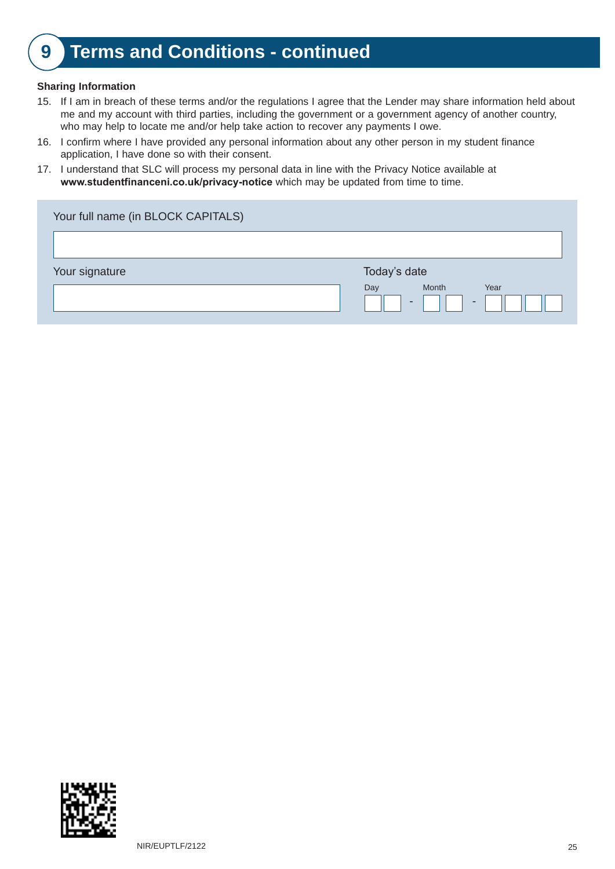### **9 Terms and Conditions - continued**

#### **Sharing Information**

- 15. If I am in breach of these terms and/or the regulations I agree that the Lender may share information held about me and my account with third parties, including the government or a government agency of another country, who may help to locate me and/or help take action to recover any payments I owe.
- 16. I confirm where I have provided any personal information about any other person in my student finance application, I have done so with their consent.
- 17. I understand that SLC will process my personal data in line with the Privacy Notice available at **www.studentfinanceni.co.uk/privacy-notice** which may be updated from time to time.

| Your full name (in BLOCK CAPITALS) |                                                      |
|------------------------------------|------------------------------------------------------|
|                                    |                                                      |
| Your signature                     | Today's date                                         |
|                                    | Month<br>Year<br>Day                                 |
|                                    | $\overline{\phantom{0}}$<br>$\overline{\phantom{a}}$ |
|                                    |                                                      |

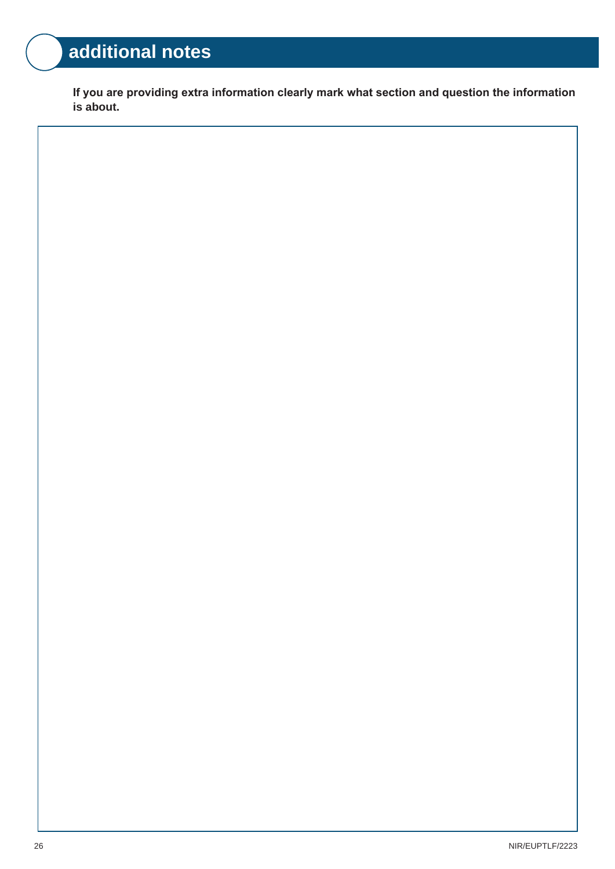### **additional notes**

If you are providing extra information clearly mark what section and question the information **is about.**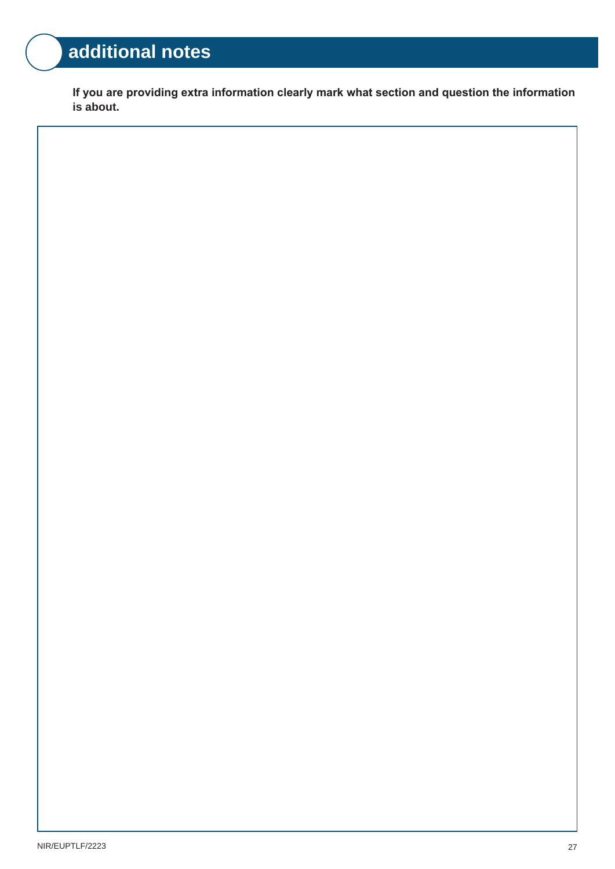### **additional notes**

If you are providing extra information clearly mark what section and question the information **is about.**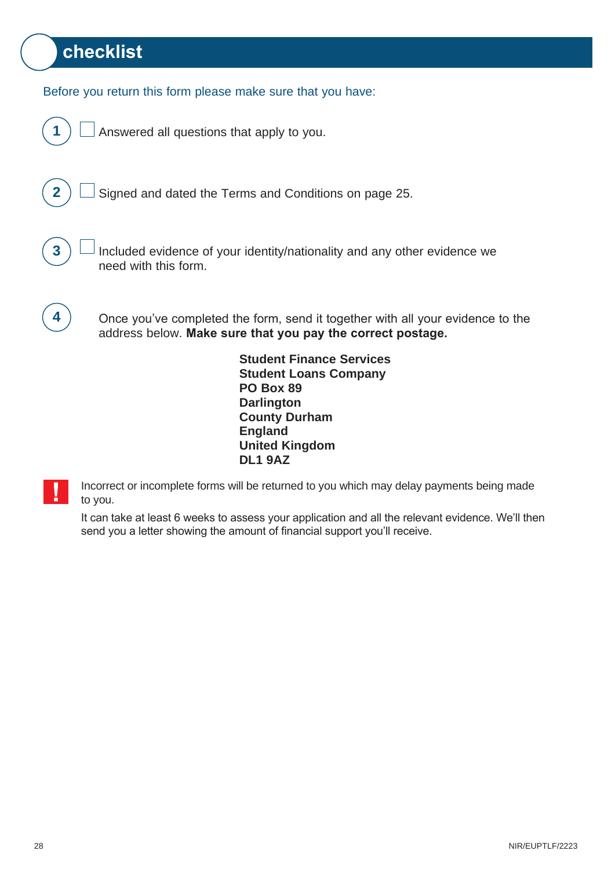### **checklist**

Before you return this form please make sure that you have:

**1**  $\Box$  Answered all questions that apply to you.



**2**  $\Box$  Signed and dated the Terms and Conditions on page 25.



**3**  $\Box$  Included evidence of your identity/nationality and any other evidence we need with this form.



**4** ) Once you've completed the form, send it together with all your evidence to the address below. Make sure that you pay the correct postage.

> **Student Finance Services Student Loans Company PO Box 89 Darlington County Durham England United Kingdom DL1 9AZ**

Incorrect or incomplete forms will be returned to you which may delay payments being made to you.

It can take at least 6 weeks to assess your application and all the relevant evidence. We'll then send you a letter showing the amount of financial support you'll receive.